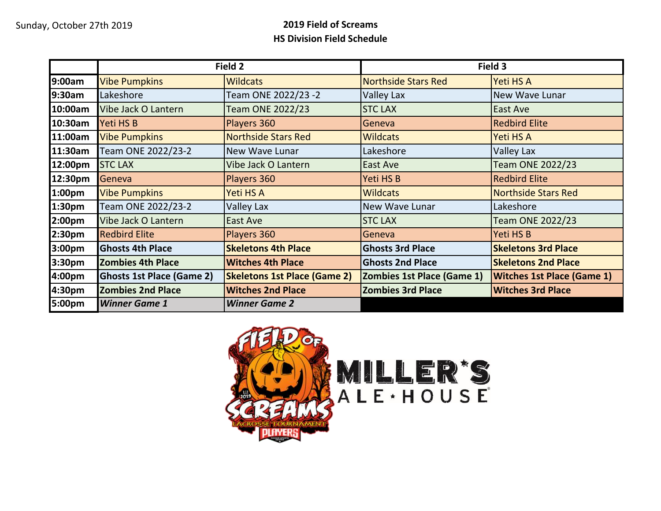## Sunday, October 27th 2019 **2019 Field of Screams HS Division Field Schedule**

|                    |                                  | Field 2                             |                                   | Field 3                           |
|--------------------|----------------------------------|-------------------------------------|-----------------------------------|-----------------------------------|
| 9:00am             | <b>Vibe Pumpkins</b>             | <b>Wildcats</b>                     | <b>Northside Stars Red</b>        | Yeti HS A                         |
| 9:30am             | Lakeshore                        | Team ONE 2022/23 -2                 | Valley Lax                        | New Wave Lunar                    |
| 10:00am            | Vibe Jack O Lantern              | Team ONE 2022/23                    | <b>STC LAX</b>                    | East Ave                          |
| 10:30am            | Yeti HS B                        | Players 360                         | Geneva                            | <b>Redbird Elite</b>              |
| 11:00am            | <b>Vibe Pumpkins</b>             | <b>Northside Stars Red</b>          | <b>Wildcats</b>                   | Yeti HS A                         |
| 11:30am            | Team ONE 2022/23-2               | <b>New Wave Lunar</b>               | Lakeshore                         | Valley Lax                        |
| 12:00pm            | <b>STC LAX</b>                   | Vibe Jack O Lantern                 | East Ave                          | Team ONE 2022/23                  |
| 12:30pm            | Geneva                           | Players 360                         | Yeti HS B                         | <b>Redbird Elite</b>              |
| 1:00pm             | <b>Vibe Pumpkins</b>             | Yeti HS A                           | <b>Wildcats</b>                   | <b>Northside Stars Red</b>        |
| 1:30 <sub>pm</sub> | Team ONE 2022/23-2               | Valley Lax                          | New Wave Lunar                    | Lakeshore                         |
| 2:00 <sub>pm</sub> | Vibe Jack O Lantern              | East Ave                            | <b>STC LAX</b>                    | <b>Team ONE 2022/23</b>           |
| 2:30pm             | <b>Redbird Elite</b>             | Players 360                         | Geneva                            | Yeti HS B                         |
| 3:00pm             | <b>Ghosts 4th Place</b>          | <b>Skeletons 4th Place</b>          | <b>Ghosts 3rd Place</b>           | <b>Skeletons 3rd Place</b>        |
| 3:30pm             | <b>Zombies 4th Place</b>         | <b>Witches 4th Place</b>            | <b>Ghosts 2nd Place</b>           | <b>Skeletons 2nd Place</b>        |
| 4:00pm             | <b>Ghosts 1st Place (Game 2)</b> | <b>Skeletons 1st Place (Game 2)</b> | <b>Zombies 1st Place (Game 1)</b> | <b>Witches 1st Place (Game 1)</b> |
| 4:30pm             | <b>Zombies 2nd Place</b>         | <b>Witches 2nd Place</b>            | <b>Zombies 3rd Place</b>          | <b>Witches 3rd Place</b>          |
| 5:00pm             | <b>Winner Game 1</b>             | <b>Winner Game 2</b>                |                                   |                                   |

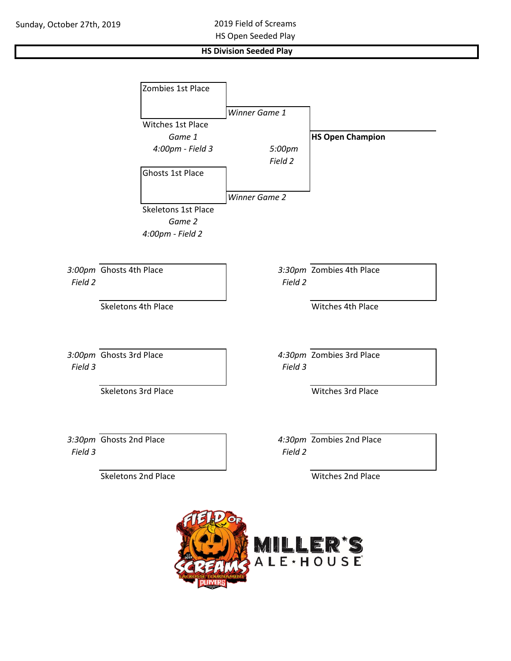## **HS Division Seeded Play**

|         | Zombies 1st Place                                        |                      |                          |
|---------|----------------------------------------------------------|----------------------|--------------------------|
|         |                                                          | Winner Game 1        |                          |
|         | Witches 1st Place<br>Game 1                              |                      | <b>HS Open Champion</b>  |
|         | 4:00pm - Field 3                                         | 5:00pm<br>Field 2    |                          |
|         | Ghosts 1st Place                                         |                      |                          |
|         | <b>Skeletons 1st Place</b><br>Game 2<br>4:00pm - Field 2 | <b>Winner Game 2</b> |                          |
| Field 2 | 3:00pm Ghosts 4th Place                                  | Field 2              | 3:30pm Zombies 4th Place |
|         | Skeletons 4th Place                                      |                      | Witches 4th Place        |
| Field 3 | 3:00pm Ghosts 3rd Place                                  | Field 3              | 4:30pm Zombies 3rd Place |
|         | Skeletons 3rd Place                                      |                      | Witches 3rd Place        |
| Field 3 | 3:30pm Ghosts 2nd Place                                  | Field 2              | 4:30pm Zombies 2nd Place |
|         | <b>Skeletons 2nd Place</b>                               |                      | Witches 2nd Place        |
|         |                                                          | MILLER'S             |                          |